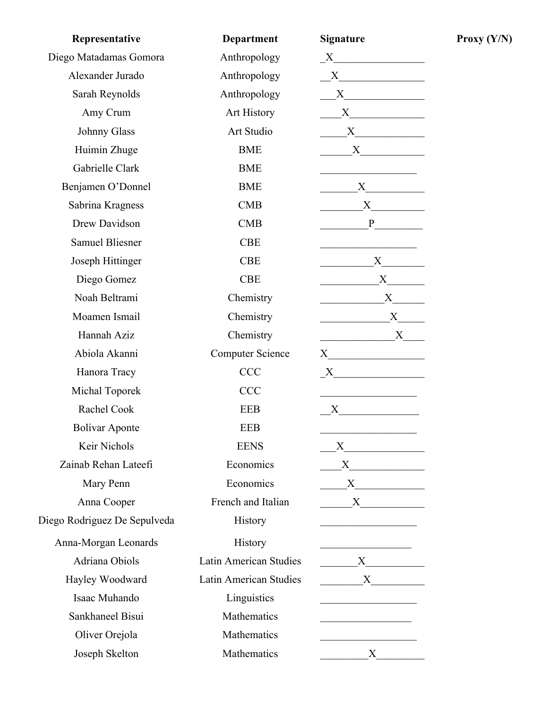| Representative               | <b>Department</b>                                                                                                                                                                                                                             | <b>Signature</b>                                            |
|------------------------------|-----------------------------------------------------------------------------------------------------------------------------------------------------------------------------------------------------------------------------------------------|-------------------------------------------------------------|
| Diego Matadamas Gomora       | Anthropology<br>$X$ and $X$ and $X$ and $X$ and $X$ and $X$ and $X$ and $X$ and $X$ and $X$ and $X$ and $X$ and $X$ and $X$ and $X$ and $X$ and $X$ and $X$ and $X$ and $X$ and $X$ and $X$ and $X$ and $X$ and $X$ and $X$ and $X$ and $X$ a |                                                             |
| Alexander Jurado             | Anthropology                                                                                                                                                                                                                                  | X                                                           |
| Sarah Reynolds               | Anthropology                                                                                                                                                                                                                                  | $\mathbf{X}$                                                |
| Amy Crum                     | Art History                                                                                                                                                                                                                                   |                                                             |
| Johnny Glass                 | Art Studio                                                                                                                                                                                                                                    |                                                             |
| Huimin Zhuge                 | <b>BME</b>                                                                                                                                                                                                                                    |                                                             |
| Gabrielle Clark              | <b>BME</b>                                                                                                                                                                                                                                    | <u> 1989 - Johann Barbara, martin a</u>                     |
| Benjamen O'Donnel            | <b>BME</b>                                                                                                                                                                                                                                    |                                                             |
| Sabrina Kragness             | CMB                                                                                                                                                                                                                                           | $X$ and $X$                                                 |
| Drew Davidson                | CMB                                                                                                                                                                                                                                           | $\mathbf{P}$                                                |
| <b>Samuel Bliesner</b>       | <b>CBE</b>                                                                                                                                                                                                                                    |                                                             |
| Joseph Hittinger             | <b>CBE</b>                                                                                                                                                                                                                                    | $\mathbf{X}$                                                |
| Diego Gomez                  | <b>CBE</b>                                                                                                                                                                                                                                    |                                                             |
| Noah Beltrami                | Chemistry                                                                                                                                                                                                                                     | $X$ <sub>1</sub>                                            |
| Moamen Ismail                | Chemistry                                                                                                                                                                                                                                     | X                                                           |
| Hannah Aziz                  | Chemistry                                                                                                                                                                                                                                     | X                                                           |
| Abiola Akanni                | <b>Computer Science</b>                                                                                                                                                                                                                       |                                                             |
| Hanora Tracy                 | <b>CCC</b>                                                                                                                                                                                                                                    |                                                             |
| Michal Toporek               | <b>CCC</b>                                                                                                                                                                                                                                    | <u> 1989 - Johann Barbara, martxa alemaniar a</u>           |
| Rachel Cook                  | <b>EEB</b>                                                                                                                                                                                                                                    | $X \qquad \qquad \boxed{\qquad \qquad }$                    |
| <b>Bolivar Aponte</b>        | <b>EEB</b>                                                                                                                                                                                                                                    |                                                             |
| Keir Nichols                 | <b>EENS</b>                                                                                                                                                                                                                                   |                                                             |
| Zainab Rehan Lateefi         | Economics                                                                                                                                                                                                                                     |                                                             |
| Mary Penn                    | Economics                                                                                                                                                                                                                                     |                                                             |
| Anna Cooper                  | French and Italian                                                                                                                                                                                                                            | $X \sim$                                                    |
| Diego Rodriguez De Sepulveda | <b>History</b>                                                                                                                                                                                                                                | <u> 1990 - Johann Barbara, martin a</u>                     |
| Anna-Morgan Leonards         | <b>History</b>                                                                                                                                                                                                                                | <u> 1990 - Johann Barbara, martin a</u>                     |
| Adriana Obiols               | Latin American Studies                                                                                                                                                                                                                        | X                                                           |
| Hayley Woodward              | Latin American Studies                                                                                                                                                                                                                        | $X \sim$                                                    |
| Isaac Muhando                | Linguistics                                                                                                                                                                                                                                   | the control of the control of the control of the control of |
| Sankhaneel Bisui             | Mathematics                                                                                                                                                                                                                                   | the control of the control of the control of                |
| Oliver Orejola               | Mathematics                                                                                                                                                                                                                                   |                                                             |
| Joseph Skelton               | Mathematics                                                                                                                                                                                                                                   | $X \sim$                                                    |

**Proxy (Y/N)**